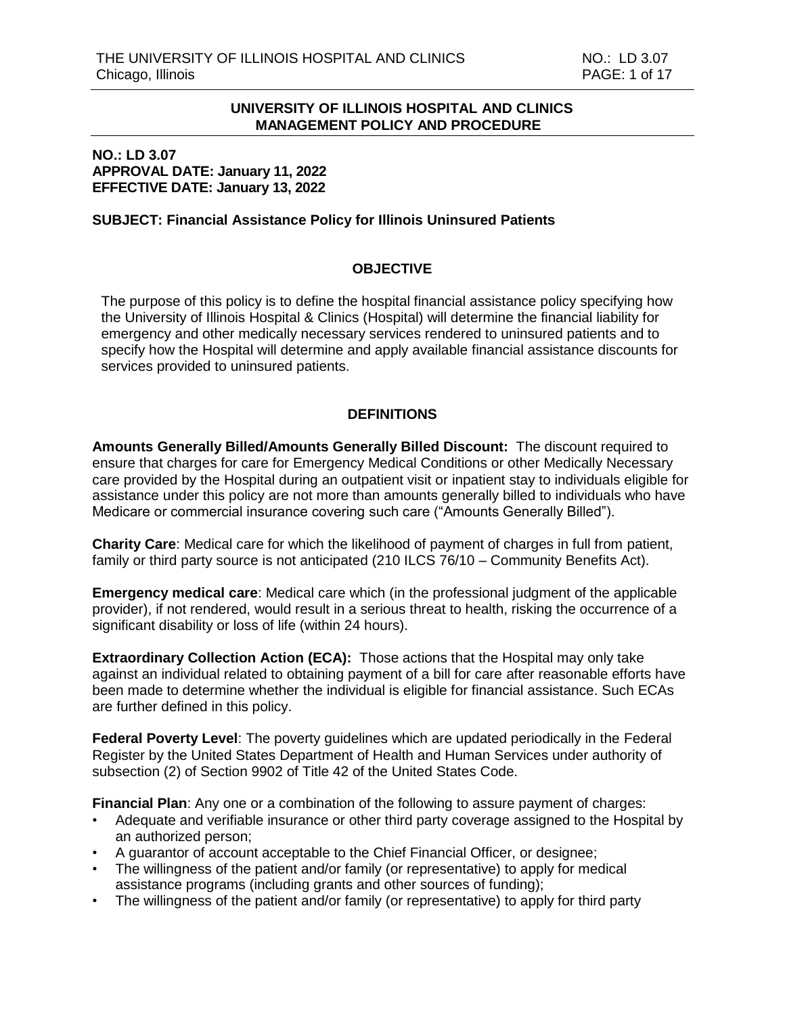#### **NO.: LD 3.07 APPROVAL DATE: January 11, 2022 EFFECTIVE DATE: January 13, 2022**

#### **SUBJECT: Financial Assistance Policy for Illinois Uninsured Patients**

# **OBJECTIVE**

The purpose of this policy is to define the hospital financial assistance policy specifying how the University of Illinois Hospital & Clinics (Hospital) will determine the financial liability for emergency and other medically necessary services rendered to uninsured patients and to specify how the Hospital will determine and apply available financial assistance discounts for services provided to uninsured patients.

#### **DEFINITIONS**

**Amounts Generally Billed/Amounts Generally Billed Discount:** The discount required to ensure that charges for care for Emergency Medical Conditions or other Medically Necessary care provided by the Hospital during an outpatient visit or inpatient stay to individuals eligible for assistance under this policy are not more than amounts generally billed to individuals who have Medicare or commercial insurance covering such care ("Amounts Generally Billed").

**Charity Care**: Medical care for which the likelihood of payment of charges in full from patient, family or third party source is not anticipated (210 ILCS 76/10 – Community Benefits Act).

**Emergency medical care**: Medical care which (in the professional judgment of the applicable provider), if not rendered, would result in a serious threat to health, risking the occurrence of a significant disability or loss of life (within 24 hours).

**Extraordinary Collection Action (ECA):** Those actions that the Hospital may only take against an individual related to obtaining payment of a bill for care after reasonable efforts have been made to determine whether the individual is eligible for financial assistance. Such ECAs are further defined in this policy.

**Federal Poverty Level**: The poverty guidelines which are updated periodically in the Federal Register by the United States Department of Health and Human Services under authority of subsection (2) of Section 9902 of Title 42 of the United States Code.

**Financial Plan**: Any one or a combination of the following to assure payment of charges:

- Adequate and verifiable insurance or other third party coverage assigned to the Hospital by an authorized person;
- A guarantor of account acceptable to the Chief Financial Officer, or designee;
- The willingness of the patient and/or family (or representative) to apply for medical assistance programs (including grants and other sources of funding);
- The willingness of the patient and/or family (or representative) to apply for third party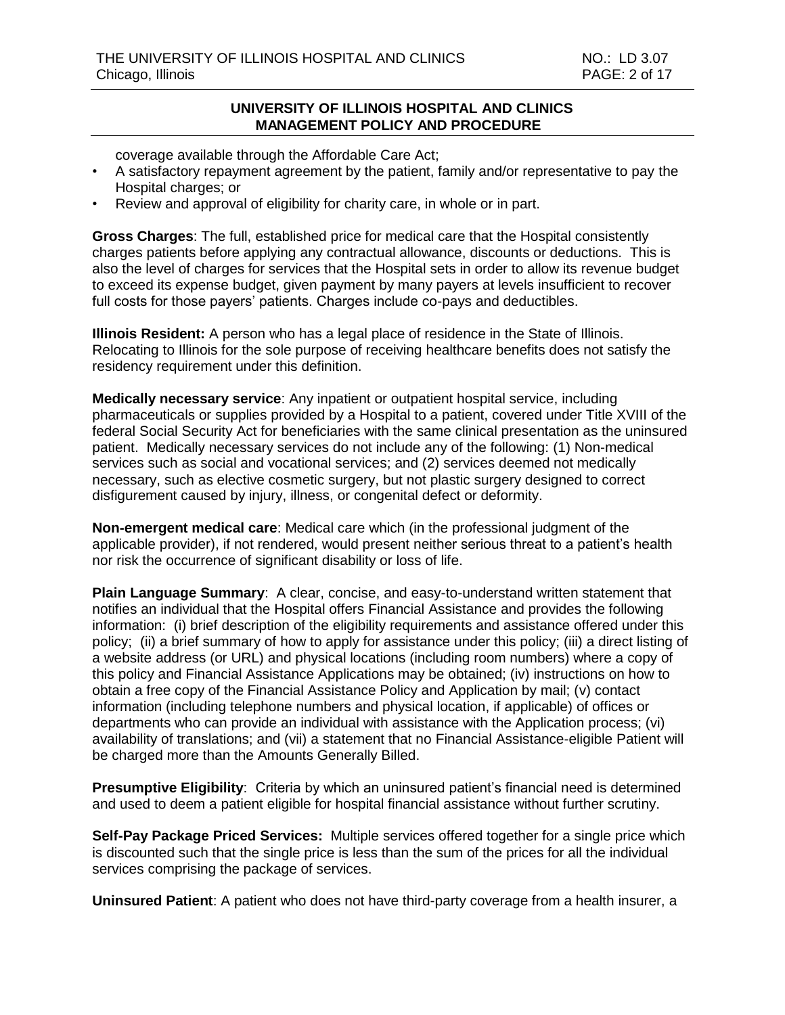coverage available through the Affordable Care Act;

- A satisfactory repayment agreement by the patient, family and/or representative to pay the Hospital charges; or
- Review and approval of eligibility for charity care, in whole or in part.

**Gross Charges**: The full, established price for medical care that the Hospital consistently charges patients before applying any contractual allowance, discounts or deductions. This is also the level of charges for services that the Hospital sets in order to allow its revenue budget to exceed its expense budget, given payment by many payers at levels insufficient to recover full costs for those payers' patients. Charges include co-pays and deductibles.

**Illinois Resident:** A person who has a legal place of residence in the State of Illinois. Relocating to Illinois for the sole purpose of receiving healthcare benefits does not satisfy the residency requirement under this definition.

**Medically necessary service**: Any inpatient or outpatient hospital service, including pharmaceuticals or supplies provided by a Hospital to a patient, covered under Title XVIII of the federal Social Security Act for beneficiaries with the same clinical presentation as the uninsured patient. Medically necessary services do not include any of the following: (1) Non-medical services such as social and vocational services; and (2) services deemed not medically necessary, such as elective cosmetic surgery, but not plastic surgery designed to correct disfigurement caused by injury, illness, or congenital defect or deformity.

**Non-emergent medical care**: Medical care which (in the professional judgment of the applicable provider), if not rendered, would present neither serious threat to a patient's health nor risk the occurrence of significant disability or loss of life.

**Plain Language Summary:** A clear, concise, and easy-to-understand written statement that notifies an individual that the Hospital offers Financial Assistance and provides the following information: (i) brief description of the eligibility requirements and assistance offered under this policy; (ii) a brief summary of how to apply for assistance under this policy; (iii) a direct listing of a website address (or URL) and physical locations (including room numbers) where a copy of this policy and Financial Assistance Applications may be obtained; (iv) instructions on how to obtain a free copy of the Financial Assistance Policy and Application by mail; (v) contact information (including telephone numbers and physical location, if applicable) of offices or departments who can provide an individual with assistance with the Application process; (vi) availability of translations; and (vii) a statement that no Financial Assistance-eligible Patient will be charged more than the Amounts Generally Billed.

**Presumptive Eligibility**: Criteria by which an uninsured patient's financial need is determined and used to deem a patient eligible for hospital financial assistance without further scrutiny.

**Self-Pay Package Priced Services:** Multiple services offered together for a single price which is discounted such that the single price is less than the sum of the prices for all the individual services comprising the package of services.

**Uninsured Patient**: A patient who does not have third-party coverage from a health insurer, a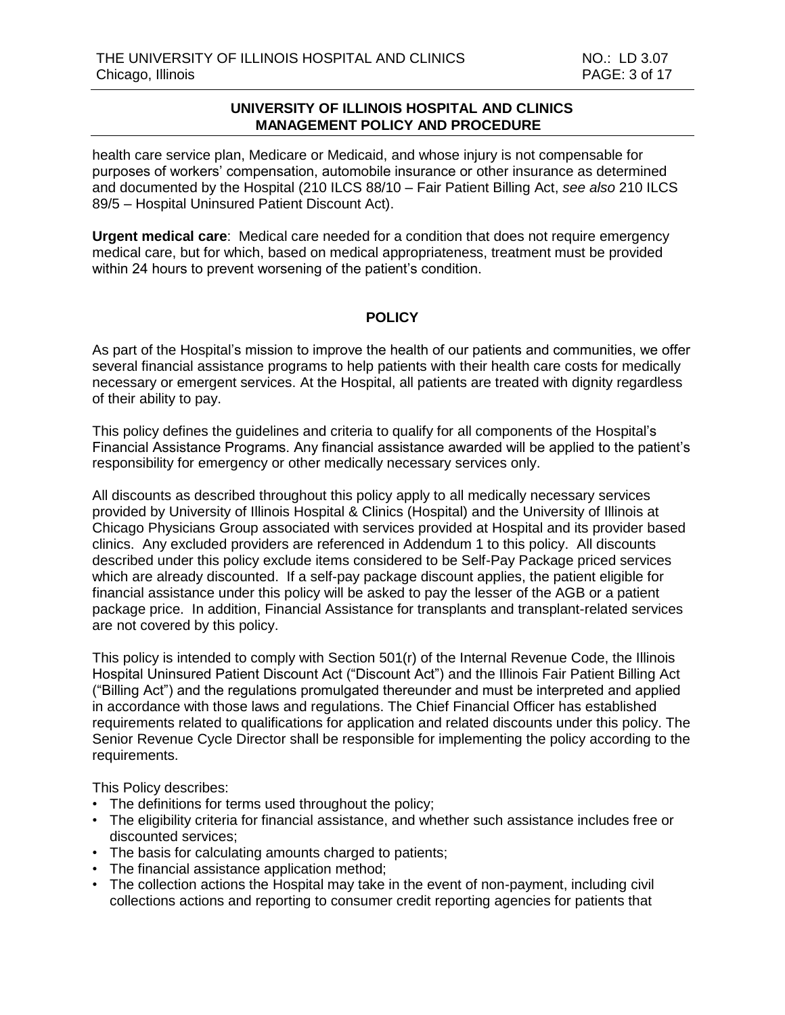health care service plan, Medicare or Medicaid, and whose injury is not compensable for purposes of workers' compensation, automobile insurance or other insurance as determined and documented by the Hospital (210 ILCS 88/10 – Fair Patient Billing Act, *see also* 210 ILCS 89/5 – Hospital Uninsured Patient Discount Act).

**Urgent medical care**: Medical care needed for a condition that does not require emergency medical care, but for which, based on medical appropriateness, treatment must be provided within 24 hours to prevent worsening of the patient's condition.

# **POLICY**

As part of the Hospital's mission to improve the health of our patients and communities, we offer several financial assistance programs to help patients with their health care costs for medically necessary or emergent services. At the Hospital, all patients are treated with dignity regardless of their ability to pay.

This policy defines the guidelines and criteria to qualify for all components of the Hospital's Financial Assistance Programs. Any financial assistance awarded will be applied to the patient's responsibility for emergency or other medically necessary services only.

All discounts as described throughout this policy apply to all medically necessary services provided by University of Illinois Hospital & Clinics (Hospital) and the University of Illinois at Chicago Physicians Group associated with services provided at Hospital and its provider based clinics. Any excluded providers are referenced in Addendum 1 to this policy. All discounts described under this policy exclude items considered to be Self-Pay Package priced services which are already discounted. If a self-pay package discount applies, the patient eligible for financial assistance under this policy will be asked to pay the lesser of the AGB or a patient package price. In addition, Financial Assistance for transplants and transplant-related services are not covered by this policy.

This policy is intended to comply with Section 501(r) of the Internal Revenue Code, the Illinois Hospital Uninsured Patient Discount Act ("Discount Act") and the Illinois Fair Patient Billing Act ("Billing Act") and the regulations promulgated thereunder and must be interpreted and applied in accordance with those laws and regulations. The Chief Financial Officer has established requirements related to qualifications for application and related discounts under this policy. The Senior Revenue Cycle Director shall be responsible for implementing the policy according to the requirements.

This Policy describes:

- The definitions for terms used throughout the policy;
- The eligibility criteria for financial assistance, and whether such assistance includes free or discounted services;
- The basis for calculating amounts charged to patients;
- The financial assistance application method;
- The collection actions the Hospital may take in the event of non-payment, including civil collections actions and reporting to consumer credit reporting agencies for patients that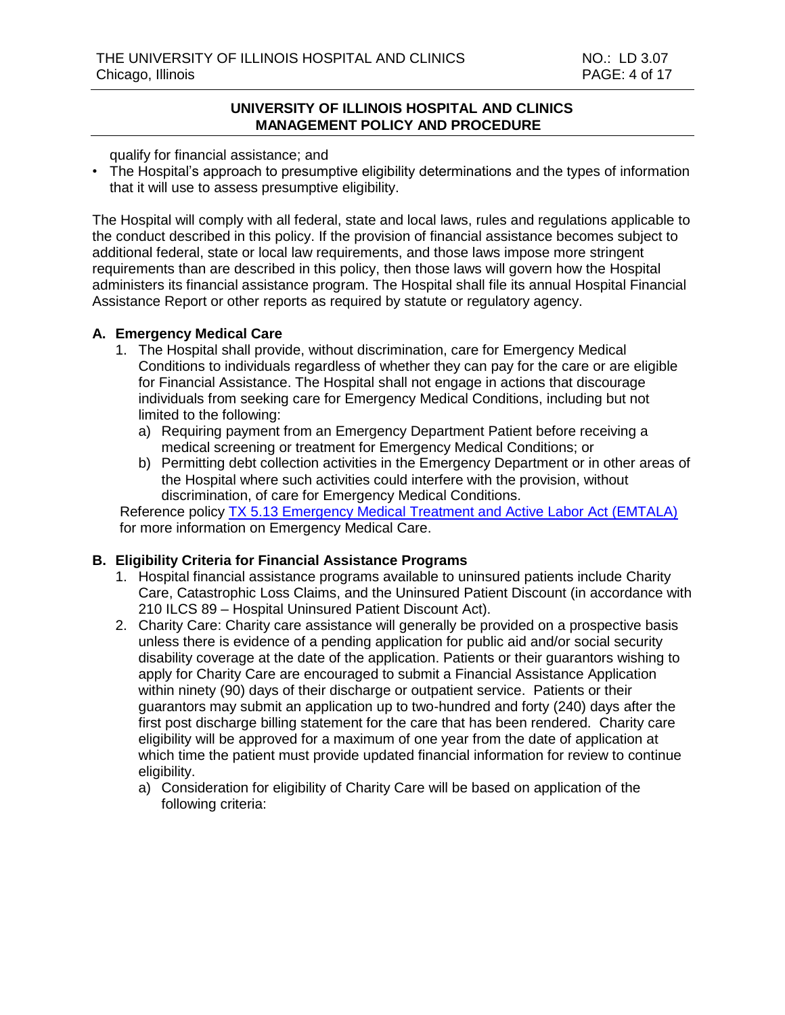qualify for financial assistance; and

• The Hospital's approach to presumptive eligibility determinations and the types of information that it will use to assess presumptive eligibility.

The Hospital will comply with all federal, state and local laws, rules and regulations applicable to the conduct described in this policy. If the provision of financial assistance becomes subject to additional federal, state or local law requirements, and those laws impose more stringent requirements than are described in this policy, then those laws will govern how the Hospital administers its financial assistance program. The Hospital shall file its annual Hospital Financial Assistance Report or other reports as required by statute or regulatory agency.

# **A. Emergency Medical Care**

- 1. The Hospital shall provide, without discrimination, care for Emergency Medical Conditions to individuals regardless of whether they can pay for the care or are eligible for Financial Assistance. The Hospital shall not engage in actions that discourage individuals from seeking care for Emergency Medical Conditions, including but not limited to the following:
	- a) Requiring payment from an Emergency Department Patient before receiving a medical screening or treatment for Emergency Medical Conditions; or
	- b) Permitting debt collection activities in the Emergency Department or in other areas of the Hospital where such activities could interfere with the provision, without discrimination, of care for Emergency Medical Conditions.

 Reference policy TX [5.13 Emergency Medical Treatment and Active Labor Act \(EMTALA\)](http://intranet.uimcc.uic.edu/HospitalPoliciesAndProcedures/dlHospitalPolicies/TX%20-%20Care%20of%20Patients/5%20-%20General%20Treatment/TX%205.13%20Emergency%20Medical%20Treatment%20and%20Active%20Labor%20Act%20(EMTALA).pdf) for more information on Emergency Medical Care.

# **B. Eligibility Criteria for Financial Assistance Programs**

- 1. Hospital financial assistance programs available to uninsured patients include Charity Care, Catastrophic Loss Claims, and the Uninsured Patient Discount (in accordance with 210 ILCS 89 – Hospital Uninsured Patient Discount Act).
- 2. Charity Care: Charity care assistance will generally be provided on a prospective basis unless there is evidence of a pending application for public aid and/or social security disability coverage at the date of the application. Patients or their guarantors wishing to apply for Charity Care are encouraged to submit a Financial Assistance Application within ninety (90) days of their discharge or outpatient service. Patients or their guarantors may submit an application up to two-hundred and forty (240) days after the first post discharge billing statement for the care that has been rendered. Charity care eligibility will be approved for a maximum of one year from the date of application at which time the patient must provide updated financial information for review to continue eligibility.
	- a) Consideration for eligibility of Charity Care will be based on application of the following criteria: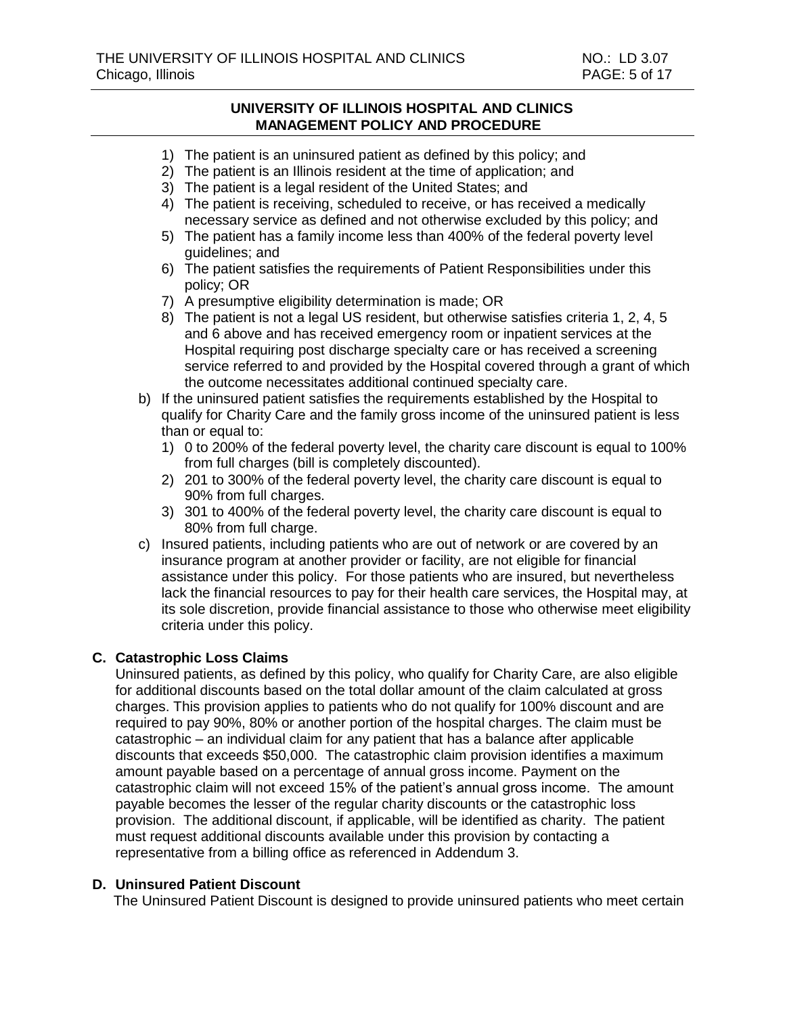- 1) The patient is an uninsured patient as defined by this policy; and
- 2) The patient is an Illinois resident at the time of application; and
- 3) The patient is a legal resident of the United States; and
- 4) The patient is receiving, scheduled to receive, or has received a medically necessary service as defined and not otherwise excluded by this policy; and
- 5) The patient has a family income less than 400% of the federal poverty level guidelines; and
- 6) The patient satisfies the requirements of Patient Responsibilities under this policy; OR
- 7) A presumptive eligibility determination is made; OR
- 8) The patient is not a legal US resident, but otherwise satisfies criteria 1, 2, 4, 5 and 6 above and has received emergency room or inpatient services at the Hospital requiring post discharge specialty care or has received a screening service referred to and provided by the Hospital covered through a grant of which the outcome necessitates additional continued specialty care.
- b) If the uninsured patient satisfies the requirements established by the Hospital to qualify for Charity Care and the family gross income of the uninsured patient is less than or equal to:
	- 1) 0 to 200% of the federal poverty level, the charity care discount is equal to 100% from full charges (bill is completely discounted).
	- 2) 201 to 300% of the federal poverty level, the charity care discount is equal to 90% from full charges.
	- 3) 301 to 400% of the federal poverty level, the charity care discount is equal to 80% from full charge.
- c) Insured patients, including patients who are out of network or are covered by an insurance program at another provider or facility, are not eligible for financial assistance under this policy. For those patients who are insured, but nevertheless lack the financial resources to pay for their health care services, the Hospital may, at its sole discretion, provide financial assistance to those who otherwise meet eligibility criteria under this policy.

#### **C. Catastrophic Loss Claims**

Uninsured patients, as defined by this policy, who qualify for Charity Care, are also eligible for additional discounts based on the total dollar amount of the claim calculated at gross charges. This provision applies to patients who do not qualify for 100% discount and are required to pay 90%, 80% or another portion of the hospital charges. The claim must be catastrophic – an individual claim for any patient that has a balance after applicable discounts that exceeds \$50,000. The catastrophic claim provision identifies a maximum amount payable based on a percentage of annual gross income. Payment on the catastrophic claim will not exceed 15% of the patient's annual gross income. The amount payable becomes the lesser of the regular charity discounts or the catastrophic loss provision. The additional discount, if applicable, will be identified as charity. The patient must request additional discounts available under this provision by contacting a representative from a billing office as referenced in Addendum 3.

#### **D. Uninsured Patient Discount**

The Uninsured Patient Discount is designed to provide uninsured patients who meet certain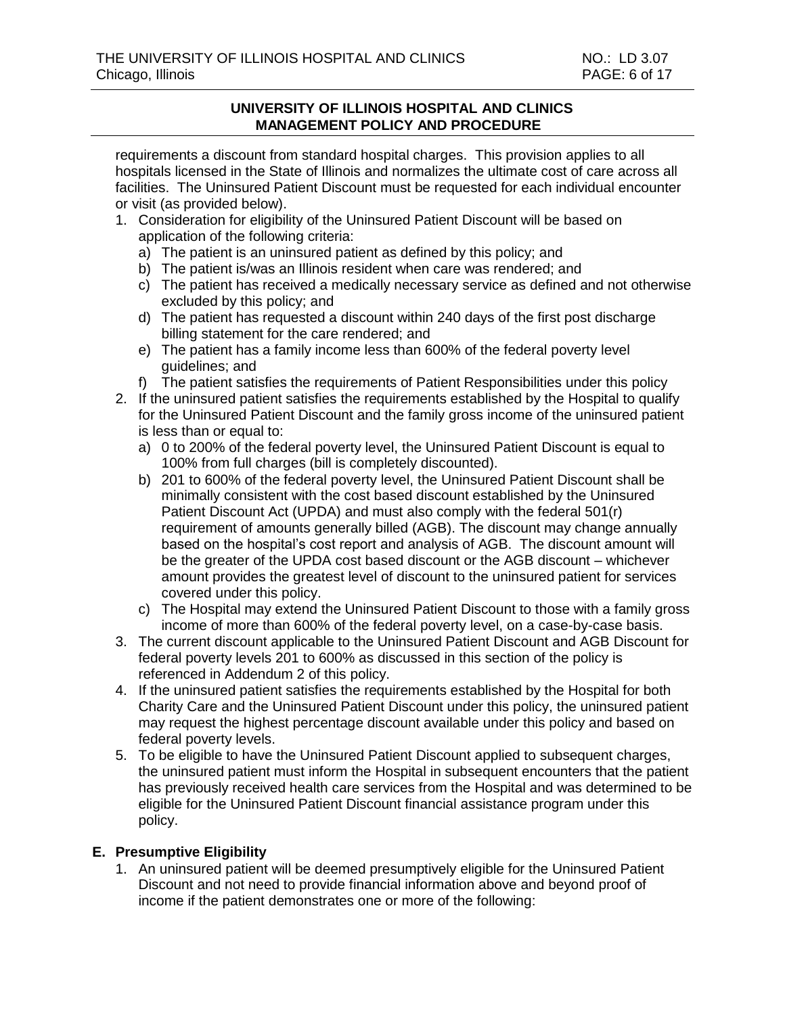requirements a discount from standard hospital charges. This provision applies to all hospitals licensed in the State of Illinois and normalizes the ultimate cost of care across all facilities. The Uninsured Patient Discount must be requested for each individual encounter or visit (as provided below).

- 1. Consideration for eligibility of the Uninsured Patient Discount will be based on application of the following criteria:
	- a) The patient is an uninsured patient as defined by this policy; and
	- b) The patient is/was an Illinois resident when care was rendered; and
	- c) The patient has received a medically necessary service as defined and not otherwise excluded by this policy; and
	- d) The patient has requested a discount within 240 days of the first post discharge billing statement for the care rendered; and
	- e) The patient has a family income less than 600% of the federal poverty level guidelines; and
	- f) The patient satisfies the requirements of Patient Responsibilities under this policy
- 2. If the uninsured patient satisfies the requirements established by the Hospital to qualify for the Uninsured Patient Discount and the family gross income of the uninsured patient is less than or equal to:
	- a) 0 to 200% of the federal poverty level, the Uninsured Patient Discount is equal to 100% from full charges (bill is completely discounted).
	- b) 201 to 600% of the federal poverty level, the Uninsured Patient Discount shall be minimally consistent with the cost based discount established by the Uninsured Patient Discount Act (UPDA) and must also comply with the federal 501(r) requirement of amounts generally billed (AGB). The discount may change annually based on the hospital's cost report and analysis of AGB. The discount amount will be the greater of the UPDA cost based discount or the AGB discount – whichever amount provides the greatest level of discount to the uninsured patient for services covered under this policy.
	- c) The Hospital may extend the Uninsured Patient Discount to those with a family gross income of more than 600% of the federal poverty level, on a case-by-case basis.
- 3. The current discount applicable to the Uninsured Patient Discount and AGB Discount for federal poverty levels 201 to 600% as discussed in this section of the policy is referenced in Addendum 2 of this policy.
- 4. If the uninsured patient satisfies the requirements established by the Hospital for both Charity Care and the Uninsured Patient Discount under this policy, the uninsured patient may request the highest percentage discount available under this policy and based on federal poverty levels.
- 5. To be eligible to have the Uninsured Patient Discount applied to subsequent charges, the uninsured patient must inform the Hospital in subsequent encounters that the patient has previously received health care services from the Hospital and was determined to be eligible for the Uninsured Patient Discount financial assistance program under this policy.

# **E. Presumptive Eligibility**

1. An uninsured patient will be deemed presumptively eligible for the Uninsured Patient Discount and not need to provide financial information above and beyond proof of income if the patient demonstrates one or more of the following: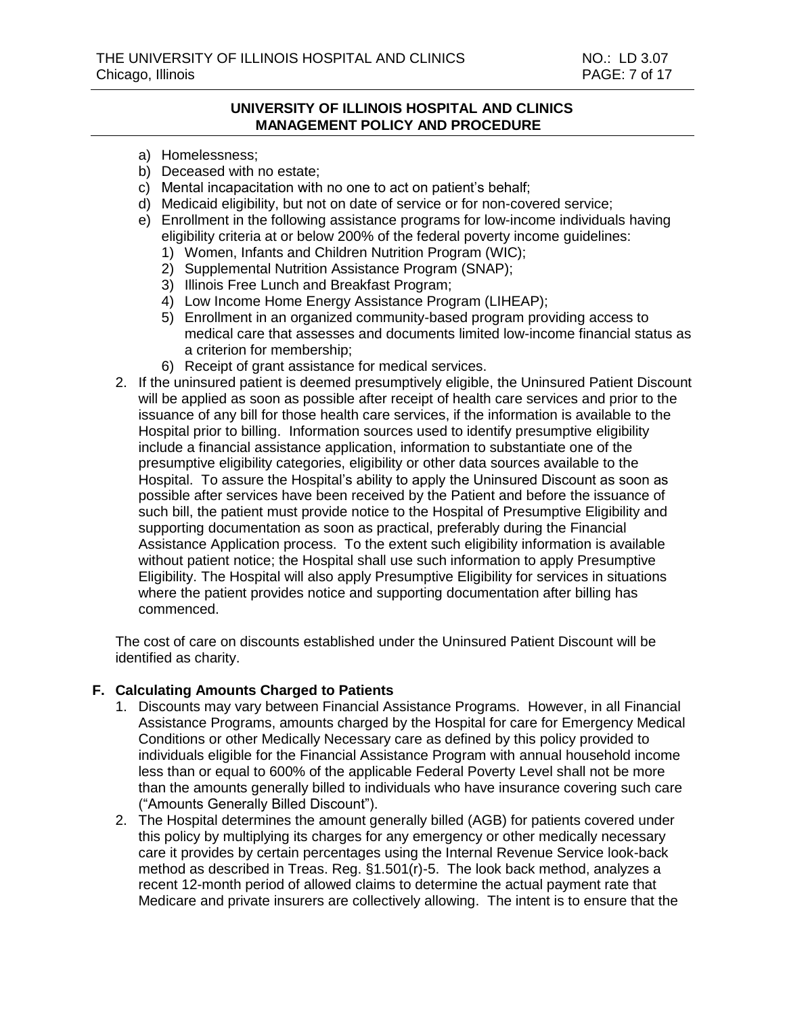- a) Homelessness;
- b) Deceased with no estate;
- c) Mental incapacitation with no one to act on patient's behalf;
- d) Medicaid eligibility, but not on date of service or for non-covered service;
- e) Enrollment in the following assistance programs for low-income individuals having eligibility criteria at or below 200% of the federal poverty income guidelines:
	- 1) Women, Infants and Children Nutrition Program (WIC);
	- 2) Supplemental Nutrition Assistance Program (SNAP);
	- 3) Illinois Free Lunch and Breakfast Program;
	- 4) Low Income Home Energy Assistance Program (LIHEAP);
	- 5) Enrollment in an organized community-based program providing access to medical care that assesses and documents limited low-income financial status as a criterion for membership;
	- 6) Receipt of grant assistance for medical services.
- 2. If the uninsured patient is deemed presumptively eligible, the Uninsured Patient Discount will be applied as soon as possible after receipt of health care services and prior to the issuance of any bill for those health care services, if the information is available to the Hospital prior to billing. Information sources used to identify presumptive eligibility include a financial assistance application, information to substantiate one of the presumptive eligibility categories, eligibility or other data sources available to the Hospital. To assure the Hospital's ability to apply the Uninsured Discount as soon as possible after services have been received by the Patient and before the issuance of such bill, the patient must provide notice to the Hospital of Presumptive Eligibility and supporting documentation as soon as practical, preferably during the Financial Assistance Application process. To the extent such eligibility information is available without patient notice; the Hospital shall use such information to apply Presumptive Eligibility. The Hospital will also apply Presumptive Eligibility for services in situations where the patient provides notice and supporting documentation after billing has commenced.

The cost of care on discounts established under the Uninsured Patient Discount will be identified as charity.

#### **F. Calculating Amounts Charged to Patients**

- 1. Discounts may vary between Financial Assistance Programs. However, in all Financial Assistance Programs, amounts charged by the Hospital for care for Emergency Medical Conditions or other Medically Necessary care as defined by this policy provided to individuals eligible for the Financial Assistance Program with annual household income less than or equal to 600% of the applicable Federal Poverty Level shall not be more than the amounts generally billed to individuals who have insurance covering such care ("Amounts Generally Billed Discount").
- 2. The Hospital determines the amount generally billed (AGB) for patients covered under this policy by multiplying its charges for any emergency or other medically necessary care it provides by certain percentages using the Internal Revenue Service look-back method as described in Treas. Reg. §1.501(r)-5. The look back method, analyzes a recent 12-month period of allowed claims to determine the actual payment rate that Medicare and private insurers are collectively allowing. The intent is to ensure that the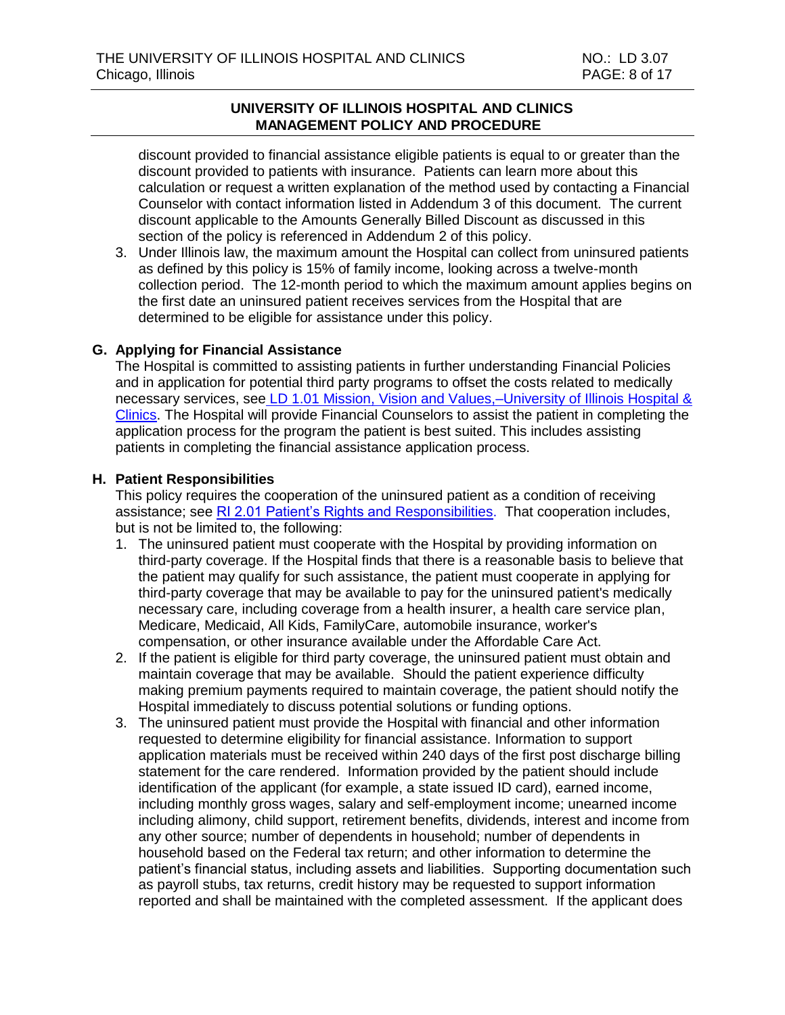discount provided to financial assistance eligible patients is equal to or greater than the discount provided to patients with insurance. Patients can learn more about this calculation or request a written explanation of the method used by contacting a Financial Counselor with contact information listed in Addendum 3 of this document. The current discount applicable to the Amounts Generally Billed Discount as discussed in this section of the policy is referenced in Addendum 2 of this policy.

3. Under Illinois law, the maximum amount the Hospital can collect from uninsured patients as defined by this policy is 15% of family income, looking across a twelve-month collection period. The 12-month period to which the maximum amount applies begins on the first date an uninsured patient receives services from the Hospital that are determined to be eligible for assistance under this policy.

#### **G. Applying for Financial Assistance**

The Hospital is committed to assisting patients in further understanding Financial Policies and in application for potential third party programs to offset the costs related to medically necessary services, see [LD 1.01 Mission, Vision and Values,–University of Illinois Hospital &](https://intranet.uimcc.uic.edu/HospitalPoliciesAndProcedures/dlHospitalPolicies%2FLD%20-%20Leadership%2F1%20-%20Organization%20and%20Responsibilities%2FLD%201.01%20Mission%20Vision%20and%20Values%20University%20of%20Illinois%20Hospital%20and%20Clinics.pdf)  [Clinics.](https://intranet.uimcc.uic.edu/HospitalPoliciesAndProcedures/dlHospitalPolicies%2FLD%20-%20Leadership%2F1%20-%20Organization%20and%20Responsibilities%2FLD%201.01%20Mission%20Vision%20and%20Values%20University%20of%20Illinois%20Hospital%20and%20Clinics.pdf) The Hospital will provide Financial Counselors to assist the patient in completing the application process for the program the patient is best suited. This includes assisting patients in completing the financial assistance application process.

#### **H. Patient Responsibilities**

This policy requires the cooperation of the uninsured patient as a condition of receiving assistance; see [RI 2.01 Patient's Rights and Responsibilities.](http://intranet.uimcc.uic.edu/HospitalPoliciesAndProcedures/dlHospitalPolicies/RI%20-%20Patient%20Rights%20and%20Organizational%20Ethics/RI%202.01%20Patient%20Rights%20and%20Responsibilities.pdf) That cooperation includes, but is not be limited to, the following:

- 1. The uninsured patient must cooperate with the Hospital by providing information on third-party coverage. If the Hospital finds that there is a reasonable basis to believe that the patient may qualify for such assistance, the patient must cooperate in applying for third-party coverage that may be available to pay for the uninsured patient's medically necessary care, including coverage from a health insurer, a health care service plan, Medicare, Medicaid, All Kids, FamilyCare, automobile insurance, worker's compensation, or other insurance available under the Affordable Care Act.
- 2. If the patient is eligible for third party coverage, the uninsured patient must obtain and maintain coverage that may be available. Should the patient experience difficulty making premium payments required to maintain coverage, the patient should notify the Hospital immediately to discuss potential solutions or funding options.
- 3. The uninsured patient must provide the Hospital with financial and other information requested to determine eligibility for financial assistance. Information to support application materials must be received within 240 days of the first post discharge billing statement for the care rendered. Information provided by the patient should include identification of the applicant (for example, a state issued ID card), earned income, including monthly gross wages, salary and self-employment income; unearned income including alimony, child support, retirement benefits, dividends, interest and income from any other source; number of dependents in household; number of dependents in household based on the Federal tax return; and other information to determine the patient's financial status, including assets and liabilities. Supporting documentation such as payroll stubs, tax returns, credit history may be requested to support information reported and shall be maintained with the completed assessment. If the applicant does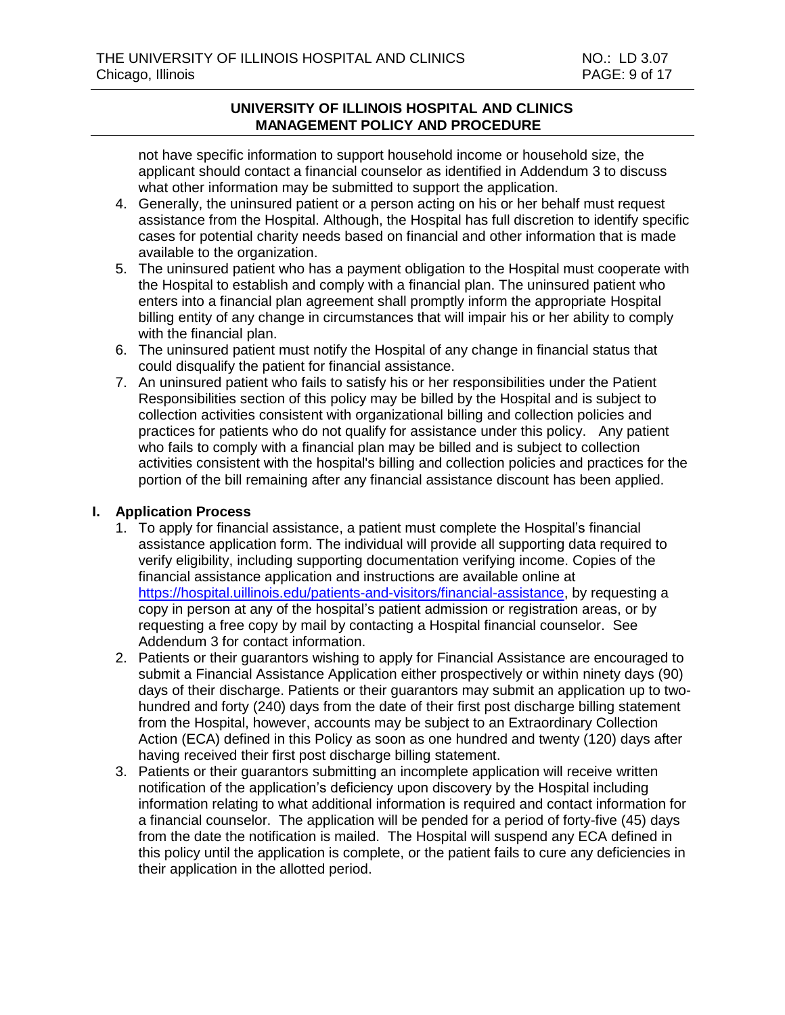not have specific information to support household income or household size, the applicant should contact a financial counselor as identified in Addendum 3 to discuss what other information may be submitted to support the application.

- 4. Generally, the uninsured patient or a person acting on his or her behalf must request assistance from the Hospital. Although, the Hospital has full discretion to identify specific cases for potential charity needs based on financial and other information that is made available to the organization.
- 5. The uninsured patient who has a payment obligation to the Hospital must cooperate with the Hospital to establish and comply with a financial plan. The uninsured patient who enters into a financial plan agreement shall promptly inform the appropriate Hospital billing entity of any change in circumstances that will impair his or her ability to comply with the financial plan.
- 6. The uninsured patient must notify the Hospital of any change in financial status that could disqualify the patient for financial assistance.
- 7. An uninsured patient who fails to satisfy his or her responsibilities under the Patient Responsibilities section of this policy may be billed by the Hospital and is subject to collection activities consistent with organizational billing and collection policies and practices for patients who do not qualify for assistance under this policy. Any patient who fails to comply with a financial plan may be billed and is subject to collection activities consistent with the hospital's billing and collection policies and practices for the portion of the bill remaining after any financial assistance discount has been applied.

#### **I. Application Process**

- 1. To apply for financial assistance, a patient must complete the Hospital's financial assistance application form. The individual will provide all supporting data required to verify eligibility, including supporting documentation verifying income. Copies of the financial assistance application and instructions are available online at [https://hospital.uillinois.edu/patients-and-visitors/financial-assistance,](https://hospital.uillinois.edu/patients-and-visitors/financial-assistance) by requesting a copy in person at any of the hospital's patient admission or registration areas, or by requesting a free copy by mail by contacting a Hospital financial counselor. See Addendum 3 for contact information.
- 2. Patients or their guarantors wishing to apply for Financial Assistance are encouraged to submit a Financial Assistance Application either prospectively or within ninety days (90) days of their discharge. Patients or their guarantors may submit an application up to twohundred and forty (240) days from the date of their first post discharge billing statement from the Hospital, however, accounts may be subject to an Extraordinary Collection Action (ECA) defined in this Policy as soon as one hundred and twenty (120) days after having received their first post discharge billing statement.
- 3. Patients or their guarantors submitting an incomplete application will receive written notification of the application's deficiency upon discovery by the Hospital including information relating to what additional information is required and contact information for a financial counselor. The application will be pended for a period of forty-five (45) days from the date the notification is mailed. The Hospital will suspend any ECA defined in this policy until the application is complete, or the patient fails to cure any deficiencies in their application in the allotted period.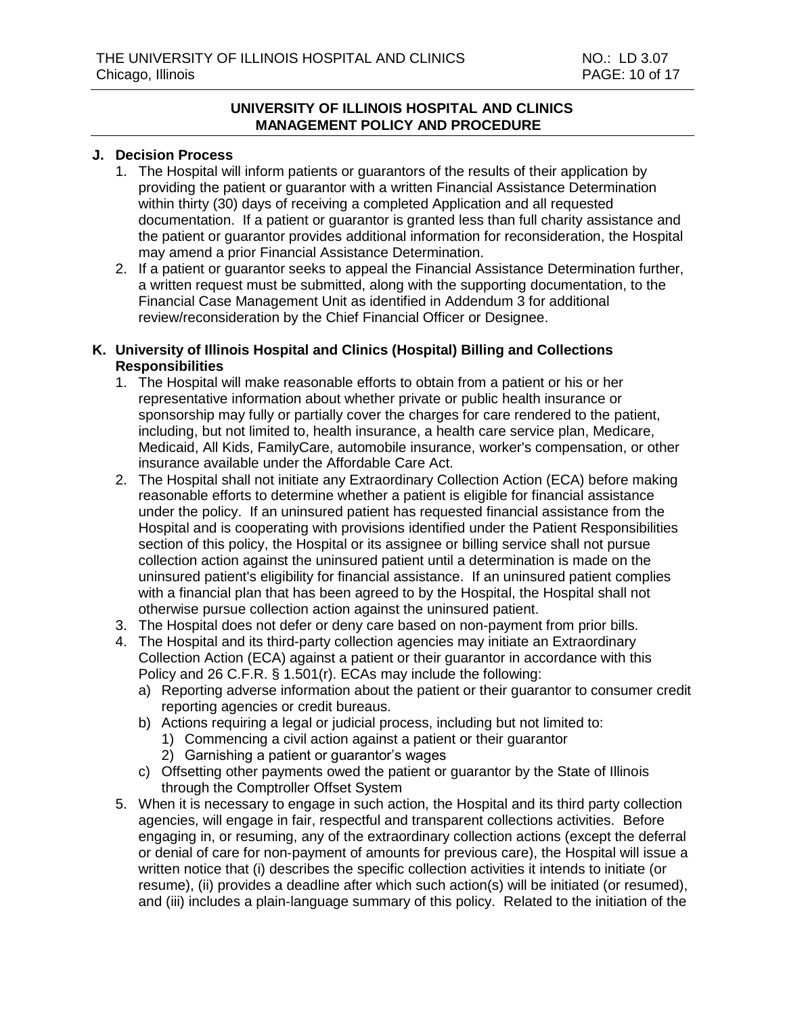#### **J. Decision Process**

- 1. The Hospital will inform patients or guarantors of the results of their application by providing the patient or guarantor with a written Financial Assistance Determination within thirty (30) days of receiving a completed Application and all requested documentation. If a patient or guarantor is granted less than full charity assistance and the patient or guarantor provides additional information for reconsideration, the Hospital may amend a prior Financial Assistance Determination.
- 2. If a patient or guarantor seeks to appeal the Financial Assistance Determination further, a written request must be submitted, along with the supporting documentation, to the Financial Case Management Unit as identified in Addendum 3 for additional review/reconsideration by the Chief Financial Officer or Designee.

## **K. University of Illinois Hospital and Clinics (Hospital) Billing and Collections Responsibilities**

- 1. The Hospital will make reasonable efforts to obtain from a patient or his or her representative information about whether private or public health insurance or sponsorship may fully or partially cover the charges for care rendered to the patient, including, but not limited to, health insurance, a health care service plan, Medicare, Medicaid, All Kids, FamilyCare, automobile insurance, worker's compensation, or other insurance available under the Affordable Care Act.
- 2. The Hospital shall not initiate any Extraordinary Collection Action (ECA) before making reasonable efforts to determine whether a patient is eligible for financial assistance under the policy. If an uninsured patient has requested financial assistance from the Hospital and is cooperating with provisions identified under the Patient Responsibilities section of this policy, the Hospital or its assignee or billing service shall not pursue collection action against the uninsured patient until a determination is made on the uninsured patient's eligibility for financial assistance. If an uninsured patient complies with a financial plan that has been agreed to by the Hospital, the Hospital shall not otherwise pursue collection action against the uninsured patient.
- 3. The Hospital does not defer or deny care based on non-payment from prior bills.
- 4. The Hospital and its third-party collection agencies may initiate an Extraordinary Collection Action (ECA) against a patient or their guarantor in accordance with this Policy and 26 C.F.R. § 1.501(r). ECAs may include the following:
	- a) Reporting adverse information about the patient or their guarantor to consumer credit reporting agencies or credit bureaus.
	- b) Actions requiring a legal or judicial process, including but not limited to:
		- 1) Commencing a civil action against a patient or their guarantor
		- 2) Garnishing a patient or guarantor's wages
	- c) Offsetting other payments owed the patient or guarantor by the State of Illinois through the Comptroller Offset System
- 5. When it is necessary to engage in such action, the Hospital and its third party collection agencies, will engage in fair, respectful and transparent collections activities. Before engaging in, or resuming, any of the extraordinary collection actions (except the deferral or denial of care for non‐payment of amounts for previous care), the Hospital will issue a written notice that (i) describes the specific collection activities it intends to initiate (or resume), (ii) provides a deadline after which such action(s) will be initiated (or resumed), and (iii) includes a plain‐language summary of this policy. Related to the initiation of the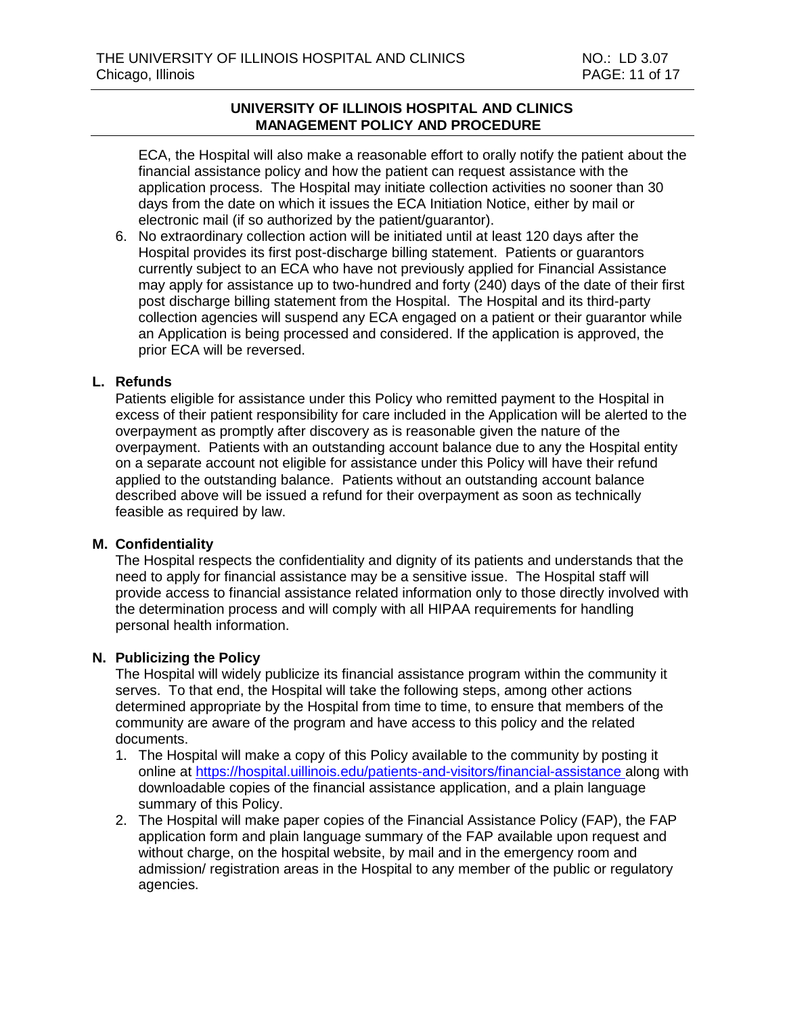ECA, the Hospital will also make a reasonable effort to orally notify the patient about the financial assistance policy and how the patient can request assistance with the application process. The Hospital may initiate collection activities no sooner than 30 days from the date on which it issues the ECA Initiation Notice, either by mail or electronic mail (if so authorized by the patient/guarantor).

6. No extraordinary collection action will be initiated until at least 120 days after the Hospital provides its first post-discharge billing statement. Patients or guarantors currently subject to an ECA who have not previously applied for Financial Assistance may apply for assistance up to two-hundred and forty (240) days of the date of their first post discharge billing statement from the Hospital. The Hospital and its third-party collection agencies will suspend any ECA engaged on a patient or their guarantor while an Application is being processed and considered. If the application is approved, the prior ECA will be reversed.

#### **L. Refunds**

Patients eligible for assistance under this Policy who remitted payment to the Hospital in excess of their patient responsibility for care included in the Application will be alerted to the overpayment as promptly after discovery as is reasonable given the nature of the overpayment. Patients with an outstanding account balance due to any the Hospital entity on a separate account not eligible for assistance under this Policy will have their refund applied to the outstanding balance. Patients without an outstanding account balance described above will be issued a refund for their overpayment as soon as technically feasible as required by law.

#### **M. Confidentiality**

The Hospital respects the confidentiality and dignity of its patients and understands that the need to apply for financial assistance may be a sensitive issue. The Hospital staff will provide access to financial assistance related information only to those directly involved with the determination process and will comply with all HIPAA requirements for handling personal health information.

#### **N. Publicizing the Policy**

The Hospital will widely publicize its financial assistance program within the community it serves. To that end, the Hospital will take the following steps, among other actions determined appropriate by the Hospital from time to time, to ensure that members of the community are aware of the program and have access to this policy and the related documents.

- 1. The Hospital will make a copy of this Policy available to the community by posting it online at<https://hospital.uillinois.edu/patients-and-visitors/financial-assistance> along with downloadable copies of the financial assistance application, and a plain language summary of this Policy.
- 2. The Hospital will make paper copies of the Financial Assistance Policy (FAP), the FAP application form and plain language summary of the FAP available upon request and without charge, on the hospital website, by mail and in the emergency room and admission/ registration areas in the Hospital to any member of the public or regulatory agencies.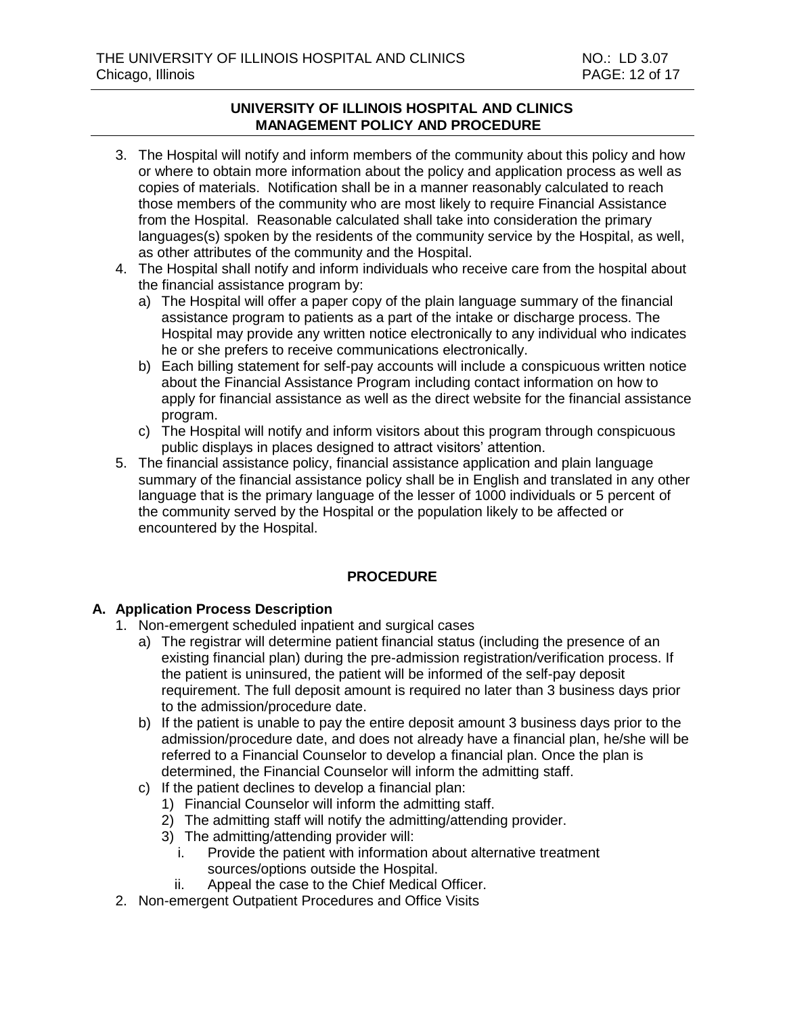- 3. The Hospital will notify and inform members of the community about this policy and how or where to obtain more information about the policy and application process as well as copies of materials. Notification shall be in a manner reasonably calculated to reach those members of the community who are most likely to require Financial Assistance from the Hospital. Reasonable calculated shall take into consideration the primary languages(s) spoken by the residents of the community service by the Hospital, as well, as other attributes of the community and the Hospital.
- 4. The Hospital shall notify and inform individuals who receive care from the hospital about the financial assistance program by:
	- a) The Hospital will offer a paper copy of the plain language summary of the financial assistance program to patients as a part of the intake or discharge process. The Hospital may provide any written notice electronically to any individual who indicates he or she prefers to receive communications electronically.
	- b) Each billing statement for self-pay accounts will include a conspicuous written notice about the Financial Assistance Program including contact information on how to apply for financial assistance as well as the direct website for the financial assistance program.
	- c) The Hospital will notify and inform visitors about this program through conspicuous public displays in places designed to attract visitors' attention.
- 5. The financial assistance policy, financial assistance application and plain language summary of the financial assistance policy shall be in English and translated in any other language that is the primary language of the lesser of 1000 individuals or 5 percent of the community served by the Hospital or the population likely to be affected or encountered by the Hospital.

# **PROCEDURE**

#### **A. Application Process Description**

- 1. Non-emergent scheduled inpatient and surgical cases
	- a) The registrar will determine patient financial status (including the presence of an existing financial plan) during the pre-admission registration/verification process. If the patient is uninsured, the patient will be informed of the self-pay deposit requirement. The full deposit amount is required no later than 3 business days prior to the admission/procedure date.
	- b) If the patient is unable to pay the entire deposit amount 3 business days prior to the admission/procedure date, and does not already have a financial plan, he/she will be referred to a Financial Counselor to develop a financial plan. Once the plan is determined, the Financial Counselor will inform the admitting staff.
	- c) If the patient declines to develop a financial plan:
		- 1) Financial Counselor will inform the admitting staff.
		- 2) The admitting staff will notify the admitting/attending provider.
		- 3) The admitting/attending provider will:
			- i. Provide the patient with information about alternative treatment sources/options outside the Hospital.
			- ii. Appeal the case to the Chief Medical Officer.
- 2. Non-emergent Outpatient Procedures and Office Visits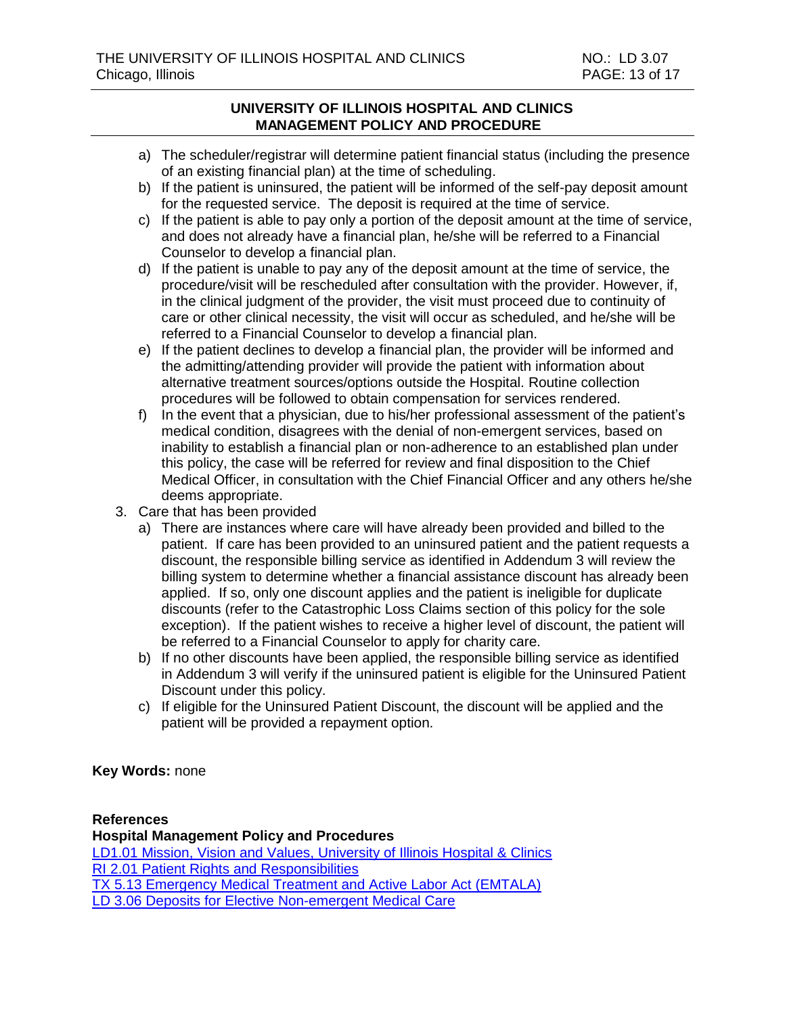- a) The scheduler/registrar will determine patient financial status (including the presence of an existing financial plan) at the time of scheduling.
- b) If the patient is uninsured, the patient will be informed of the self-pay deposit amount for the requested service. The deposit is required at the time of service.
- c) If the patient is able to pay only a portion of the deposit amount at the time of service, and does not already have a financial plan, he/she will be referred to a Financial Counselor to develop a financial plan.
- d) If the patient is unable to pay any of the deposit amount at the time of service, the procedure/visit will be rescheduled after consultation with the provider. However, if, in the clinical judgment of the provider, the visit must proceed due to continuity of care or other clinical necessity, the visit will occur as scheduled, and he/she will be referred to a Financial Counselor to develop a financial plan.
- e) If the patient declines to develop a financial plan, the provider will be informed and the admitting/attending provider will provide the patient with information about alternative treatment sources/options outside the Hospital. Routine collection procedures will be followed to obtain compensation for services rendered.
- f) In the event that a physician, due to his/her professional assessment of the patient's medical condition, disagrees with the denial of non-emergent services, based on inability to establish a financial plan or non-adherence to an established plan under this policy, the case will be referred for review and final disposition to the Chief Medical Officer, in consultation with the Chief Financial Officer and any others he/she deems appropriate.
- 3. Care that has been provided
	- a) There are instances where care will have already been provided and billed to the patient. If care has been provided to an uninsured patient and the patient requests a discount, the responsible billing service as identified in Addendum 3 will review the billing system to determine whether a financial assistance discount has already been applied. If so, only one discount applies and the patient is ineligible for duplicate discounts (refer to the Catastrophic Loss Claims section of this policy for the sole exception). If the patient wishes to receive a higher level of discount, the patient will be referred to a Financial Counselor to apply for charity care.
	- b) If no other discounts have been applied, the responsible billing service as identified in Addendum 3 will verify if the uninsured patient is eligible for the Uninsured Patient Discount under this policy.
	- c) If eligible for the Uninsured Patient Discount, the discount will be applied and the patient will be provided a repayment option.

**Key Words:** none

#### **References**

**Hospital Management Policy and Procedures** [LD1.01 Mission, Vision and Values, University of Illinois Hospital & Clinics](http://intranet.uimcc.uic.edu/HospitalPoliciesAndProcedures/dlHospitalPolicies%2FLD%20-%20Leadership%2F1%20-%20Organization%20and%20Responsibilities%2FLD%201.01%20Mission%20Vision%20and%20Values%20University%20of%20Illinois%20Hospital%20and%20Clinics.pdf) RI 2.01 Patient Rights [and Responsibilities](http://intranet.uimcc.uic.edu/HospitalPoliciesAndProcedures/dlHospitalPolicies/RI%20-%20Patient%20Rights%20and%20Organizational%20Ethics/RI%202.01%20Patient%20Rights%20and%20Responsibilities.pdf) TX [5.13 Emergency Medical Treatment and Active Labor Act \(EMTALA\)](http://intranet.uimcc.uic.edu/HospitalPoliciesAndProcedures/dlHospitalPolicies/TX%20-%20Care%20of%20Patients/5%20-%20General%20Treatment/TX%205.13%20Emergency%20Medical%20Treatment%20and%20Active%20Labor%20Act%20(EMTALA).pdf) LD [3.06 Deposits for Elective Non-emergent Medical Care](http://intranet.uimcc.uic.edu/HospitalPoliciesAndProcedures/dlHospitalPolicies/LD%20-%20Leadership/3%20-%20Reimbursement%20and%20Payment/LD%203.06%20Deposits%20for%20Elective%20Non-Emergent%20Medical%20Care.pdf)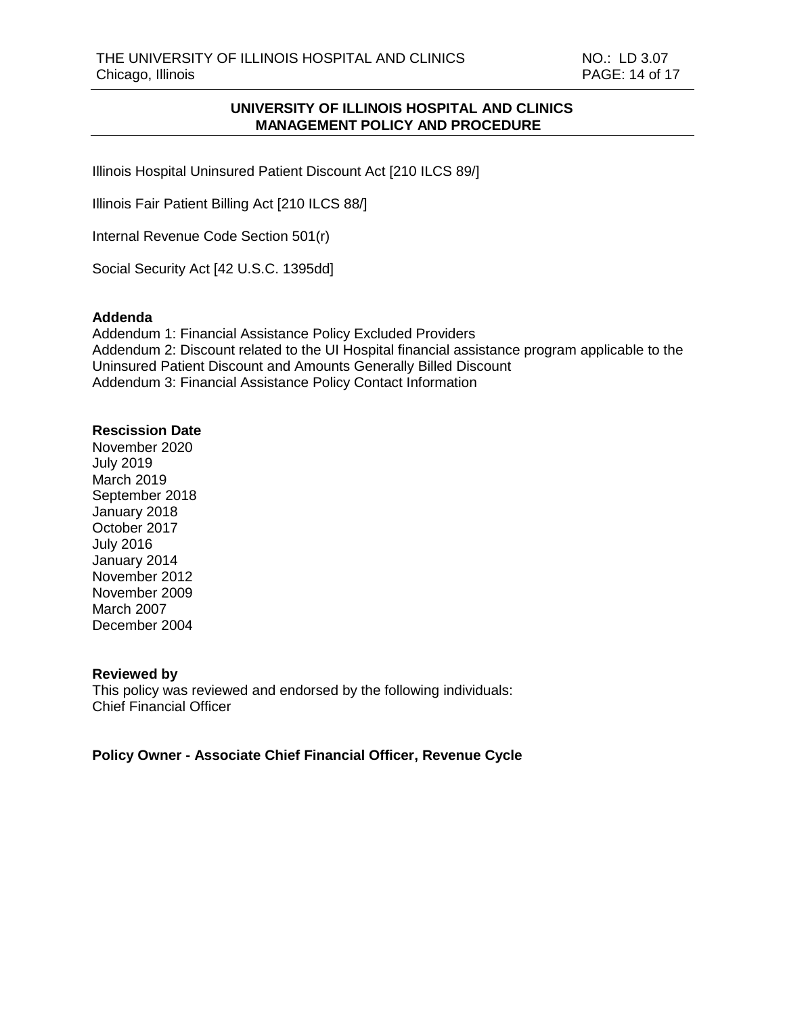Illinois Hospital Uninsured Patient Discount Act [210 ILCS 89/]

Illinois Fair Patient Billing Act [210 ILCS 88/]

Internal Revenue Code Section 501(r)

Social Security Act [42 U.S.C. 1395dd]

#### **Addenda**

Addendum 1: Financial Assistance Policy Excluded Providers Addendum 2: Discount related to the UI Hospital financial assistance program applicable to the Uninsured Patient Discount and Amounts Generally Billed Discount Addendum 3: Financial Assistance Policy Contact Information

#### **Rescission Date**

November 2020 July 2019 March 2019 September 2018 January 2018 October 2017 July 2016 January 2014 November 2012 November 2009 March 2007 December 2004

#### **Reviewed by**

This policy was reviewed and endorsed by the following individuals: Chief Financial Officer

**Policy Owner - Associate Chief Financial Officer, Revenue Cycle**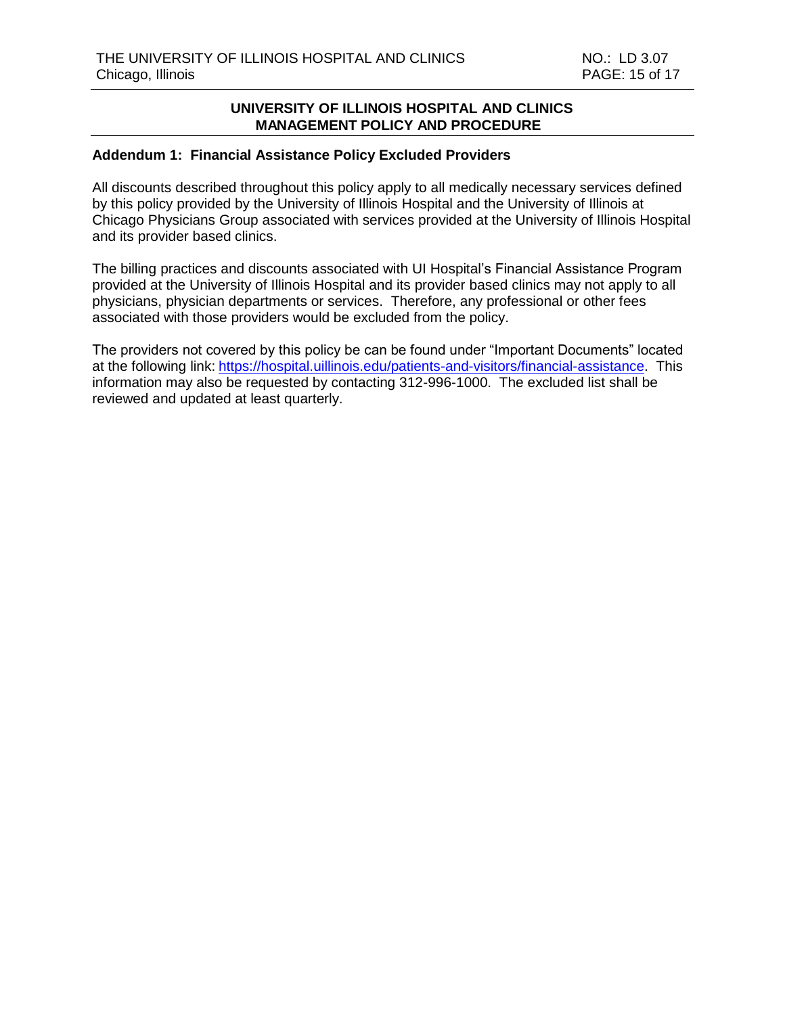## **Addendum 1: Financial Assistance Policy Excluded Providers**

All discounts described throughout this policy apply to all medically necessary services defined by this policy provided by the University of Illinois Hospital and the University of Illinois at Chicago Physicians Group associated with services provided at the University of Illinois Hospital and its provider based clinics.

The billing practices and discounts associated with UI Hospital's Financial Assistance Program provided at the University of Illinois Hospital and its provider based clinics may not apply to all physicians, physician departments or services. Therefore, any professional or other fees associated with those providers would be excluded from the policy.

The providers not covered by this policy be can be found under "Important Documents" located at the following link: [https://hospital.uillinois.edu/patients-and-visitors/financial-assistance.](https://hospital.uillinois.edu/patients-and-visitors/financial-assistance) This information may also be requested by contacting 312-996-1000. The excluded list shall be reviewed and updated at least quarterly.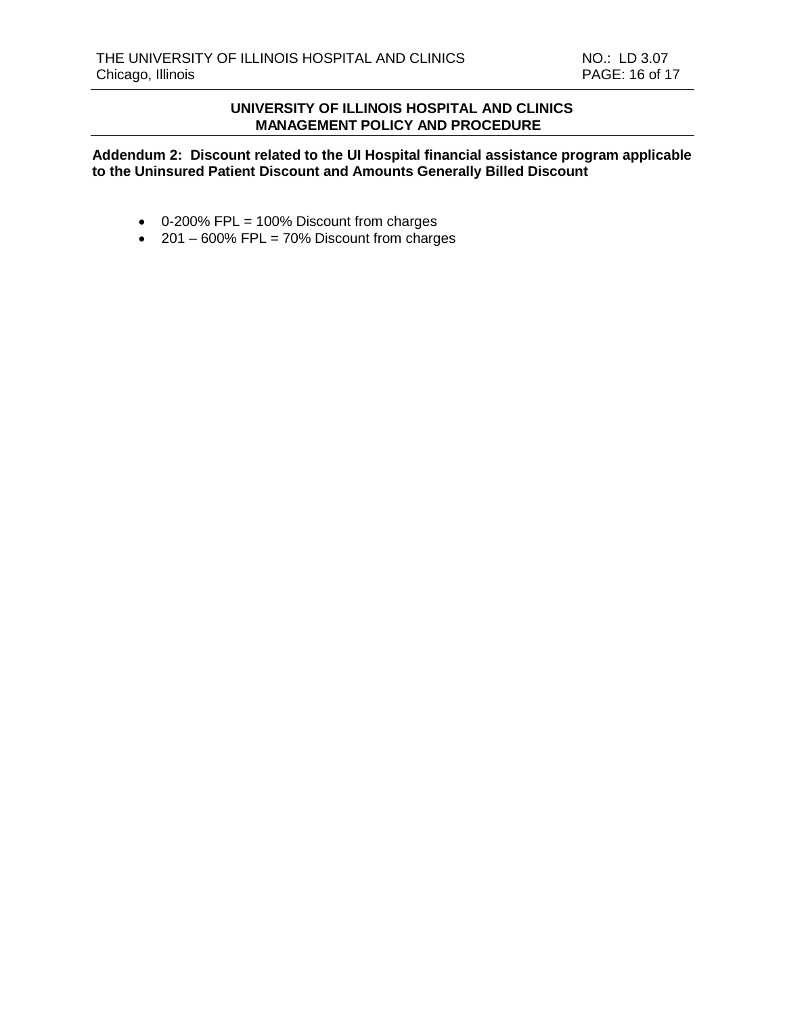**Addendum 2: Discount related to the UI Hospital financial assistance program applicable to the Uninsured Patient Discount and Amounts Generally Billed Discount**

- 0-200% FPL = 100% Discount from charges
- $\cdot$  201 600% FPL = 70% Discount from charges